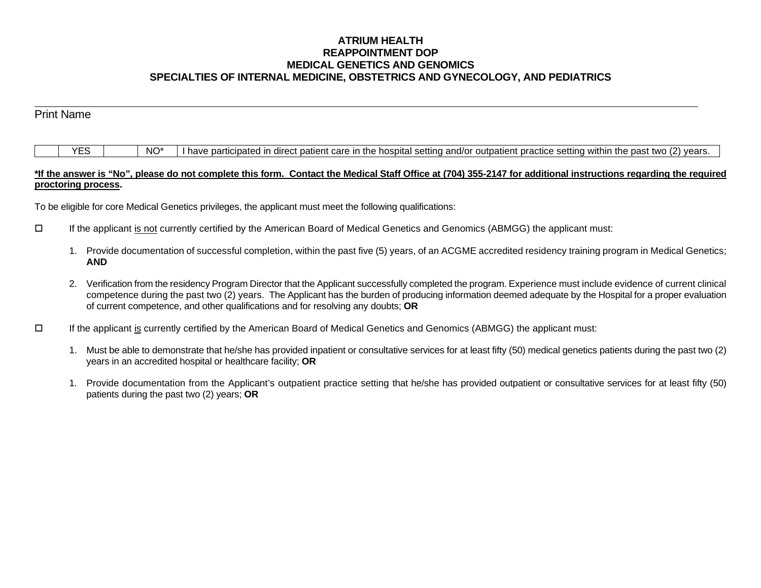## **ATRIUM HEALTH REAPPOINTMENT DOP MEDICAL GENETICS AND GENOMICS SPECIALTIES OF INTERNAL MEDICINE, OBSTETRICS AND GYNECOLOGY, AND PEDIATRICS**

| <b>Print Name</b> |                 |                                                                                                                                      |
|-------------------|-----------------|--------------------------------------------------------------------------------------------------------------------------------------|
|                   |                 |                                                                                                                                      |
| YES               | NO <sup>*</sup> | I have participated in direct patient care in the hospital setting and/or outpatient practice setting within the past two (2) years. |

## **\*If the answer is "No", please do not complete this form. Contact the Medical Staff Office at (704) 355-2147 for additional instructions regarding the required proctoring process.**

To be eligible for core Medical Genetics privileges, the applicant must meet the following qualifications:

- If the applicant is not currently certified by the American Board of Medical Genetics and Genomics (ABMGG) the applicant must:
	- 1. Provide documentation of successful completion, within the past five (5) years, of an ACGME accredited residency training program in Medical Genetics; **AND**
	- 2. Verification from the residency Program Director that the Applicant successfully completed the program. Experience must include evidence of current clinical competence during the past two (2) years. The Applicant has the burden of producing information deemed adequate by the Hospital for a proper evaluation of current competence, and other qualifications and for resolving any doubts; **OR**
- If the applicant is currently certified by the American Board of Medical Genetics and Genomics (ABMGG) the applicant must:
	- 1. Must be able to demonstrate that he/she has provided inpatient or consultative services for at least fifty (50) medical genetics patients during the past two (2) years in an accredited hospital or healthcare facility; **OR**
	- 1. Provide documentation from the Applicant's outpatient practice setting that he/she has provided outpatient or consultative services for at least fifty (50) patients during the past two (2) years; **OR**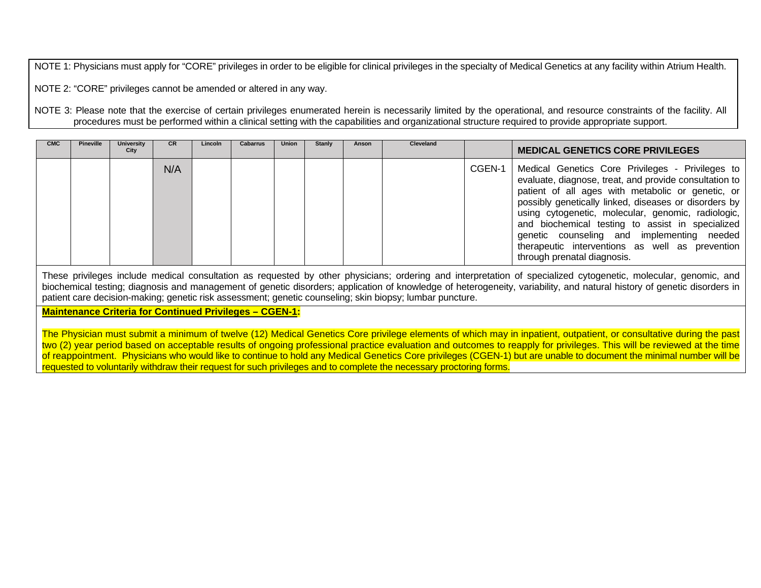NOTE 1: Physicians must apply for "CORE" privileges in order to be eligible for clinical privileges in the specialty of Medical Genetics at any facility within Atrium Health.

NOTE 2: "CORE" privileges cannot be amended or altered in any way.

NOTE 3: Please note that the exercise of certain privileges enumerated herein is necessarily limited by the operational, and resource constraints of the facility. All procedures must be performed within a clinical setting with the capabilities and organizational structure required to provide appropriate support.

| <b>CMC</b> | <b>Pineville</b> | <b>University</b><br>City | <b>CR</b> | Lincoln | Cabarrus | Union | Stanly | Anson | <b>Cleveland</b> |        | <b>MEDICAL GENETICS CORE PRIVILEGES</b>                                                                                                                                                                                                                                                                                                                                                                                                                            |
|------------|------------------|---------------------------|-----------|---------|----------|-------|--------|-------|------------------|--------|--------------------------------------------------------------------------------------------------------------------------------------------------------------------------------------------------------------------------------------------------------------------------------------------------------------------------------------------------------------------------------------------------------------------------------------------------------------------|
|            |                  |                           | N/A       |         |          |       |        |       |                  | CGEN-1 | Medical Genetics Core Privileges - Privileges to<br>evaluate, diagnose, treat, and provide consultation to<br>patient of all ages with metabolic or genetic, or<br>possibly genetically linked, diseases or disorders by<br>using cytogenetic, molecular, genomic, radiologic,<br>and biochemical testing to assist in specialized<br>genetic counseling and implementing needed<br>therapeutic interventions as well as prevention<br>through prenatal diagnosis. |

These privileges include medical consultation as requested by other physicians; ordering and interpretation of specialized cytogenetic, molecular, genomic, and biochemical testing; diagnosis and management of genetic disorders; application of knowledge of heterogeneity, variability, and natural history of genetic disorders in patient care decision-making; genetic risk assessment; genetic counseling; skin biopsy; lumbar puncture.

## **Maintenance Criteria for Continued Privileges – CGEN-1:**

The Physician must submit a minimum of twelve (12) Medical Genetics Core privilege elements of which may in inpatient, outpatient, or consultative during the past two (2) year period based on acceptable results of ongoing professional practice evaluation and outcomes to reapply for privileges. This will be reviewed at the time of reappointment. Physicians who would like to continue to hold any Medical Genetics Core privileges (CGEN-1) but are unable to document the minimal number will be requested to voluntarily withdraw their request for such privileges and to complete the necessary proctoring forms.